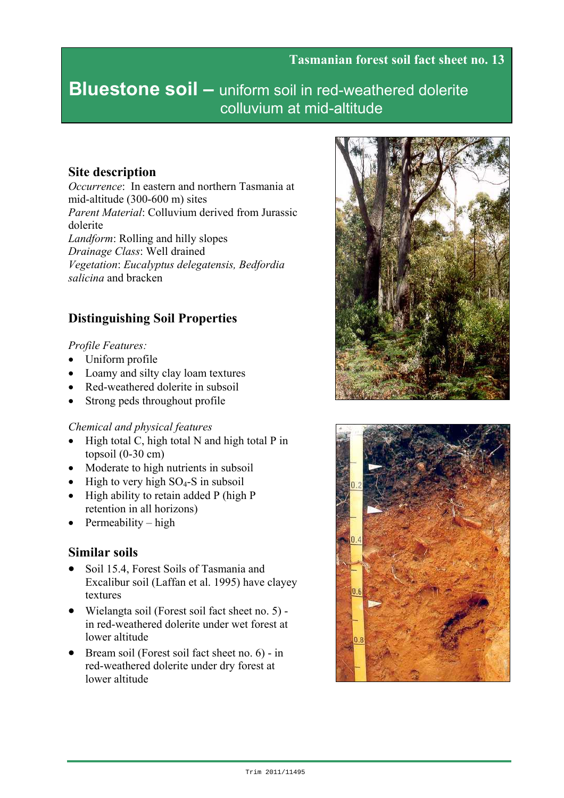# **Bluestone soil –** uniform soil in red-weathered dolerite colluvium at mid-altitude

## **Site description**

*Occurrence*: In eastern and northern Tasmania at mid-altitude (300-600 m) sites *Parent Material*: Colluvium derived from Jurassic dolerite *Landform*: Rolling and hilly slopes *Drainage Class*: Well drained *Vegetation*: *Eucalyptus delegatensis, Bedfordia salicina* and bracken

## **Distinguishing Soil Properties**

#### *Profile Features:*

- Uniform profile
- Loamy and silty clay loam textures
- Red-weathered dolerite in subsoil
- Strong peds throughout profile

#### *Chemical and physical features*

- High total C, high total N and high total P in topsoil  $(0-30 \text{ cm})$
- Moderate to high nutrients in subsoil
- High to very high  $SO_4$ -S in subsoil
- High ability to retain added P (high P retention in all horizons)
- Permeability high

## **Similar soils**

- Soil 15.4, Forest Soils of Tasmania and Excalibur soil (Laffan et al. 1995) have clayey textures
- Wielangta soil (Forest soil fact sheet no. 5) in red-weathered dolerite under wet forest at lower altitude
- Bream soil (Forest soil fact sheet no. 6) in red-weathered dolerite under dry forest at lower altitude



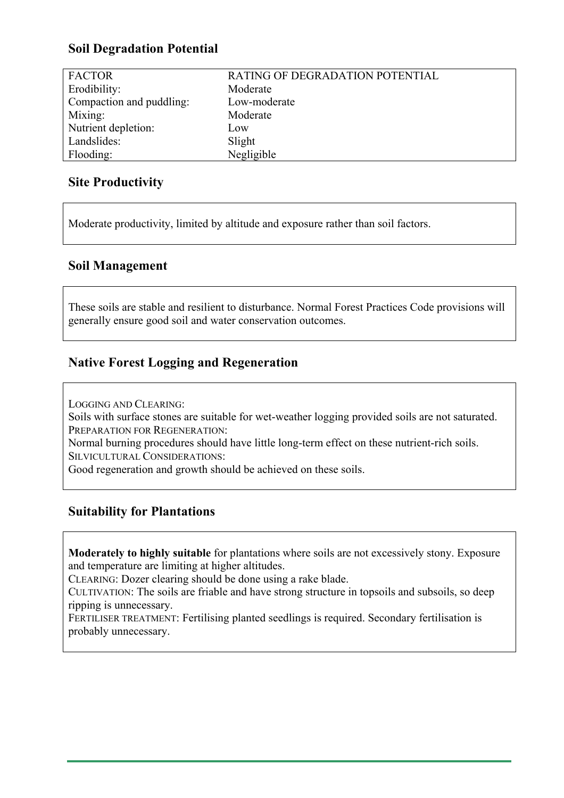## **Soil Degradation Potential**

| <b>FACTOR</b>            | RATING OF DEGRADATION POTENTIAL |
|--------------------------|---------------------------------|
| Erodibility:             | Moderate                        |
| Compaction and puddling: | Low-moderate                    |
| Mixing:                  | Moderate                        |
| Nutrient depletion:      | Low                             |
| Landslides:              | Slight                          |
| Flooding:                | Negligible                      |

## **Site Productivity**

Moderate productivity, limited by altitude and exposure rather than soil factors.

#### **Soil Management**

These soils are stable and resilient to disturbance. Normal Forest Practices Code provisions will generally ensure good soil and water conservation outcomes.

## **Native Forest Logging and Regeneration**

LOGGING AND CLEARING:

Soils with surface stones are suitable for wet-weather logging provided soils are not saturated. PREPARATION FOR REGENERATION:

Normal burning procedures should have little long-term effect on these nutrient-rich soils. SILVICULTURAL CONSIDERATIONS:

Good regeneration and growth should be achieved on these soils.

## **Suitability for Plantations**

**Moderately to highly suitable** for plantations where soils are not excessively stony. Exposure and temperature are limiting at higher altitudes.

CLEARING: Dozer clearing should be done using a rake blade.

CULTIVATION: The soils are friable and have strong structure in topsoils and subsoils, so deep ripping is unnecessary.

FERTILISER TREATMENT: Fertilising planted seedlings is required. Secondary fertilisation is probably unnecessary.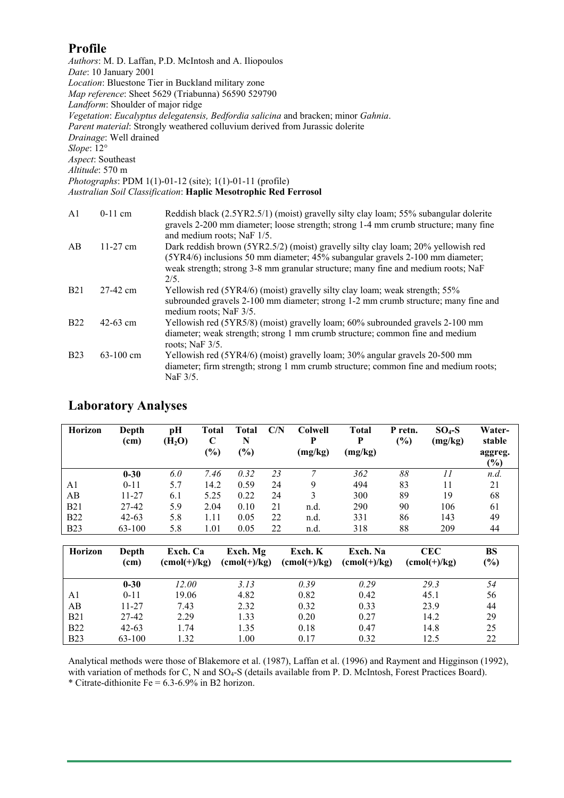### **Profile**

*Authors*: M. D. Laffan, P.D. McIntosh and A. Iliopoulos *Date*: 10 January 2001 *Location*: Bluestone Tier in Buckland military zone *Map reference*: Sheet 5629 (Triabunna) 56590 529790 *Landform*: Shoulder of major ridge *Vegetation*: *Eucalyptus delegatensis, Bedfordia salicina* and bracken; minor *Gahnia*. *Parent material*: Strongly weathered colluvium derived from Jurassic dolerite *Drainage*: Well drained *Slope*: 12° *Aspect*: Southeast *Altitude*: 570 m *Photographs*: PDM 1(1)-01-12 (site); 1(1)-01-11 (profile) *Australian Soil Classification*: **Haplic Mesotrophic Red Ferrosol**  A1 0-11 cm Reddish black (2.5YR2.5/1) (moist) gravelly silty clay loam; 55% subangular dolerite gravels 2-200 mm diameter; loose strength; strong 1-4 mm crumb structure; many fine and medium roots; NaF 1/5. AB 11-27 cm Dark reddish brown (5YR2.5/2) (moist) gravelly silty clay loam; 20% yellowish red (5YR4/6) inclusions 50 mm diameter; 45% subangular gravels 2-100 mm diameter; weak strength; strong 3-8 mm granular structure; many fine and medium roots; NaF 2/5. B21 27-42 cm Yellowish red (5YR4/6) (moist) gravelly silty clay loam; weak strength; 55% subrounded gravels 2-100 mm diameter; strong 1-2 mm crumb structure; many fine and medium roots; NaF 3/5. B22 42-63 cm Yellowish red (5YR5/8) (moist) gravelly loam; 60% subrounded gravels 2-100 mm diameter; weak strength; strong 1 mm crumb structure; common fine and medium roots; NaF 3/5. B23 63-100 cm Yellowish red (5YR4/6) (moist) gravelly loam; 30% angular gravels 20-500 mm

| diameter; firm strength; strong 1 mm crumb structure; common fine and medium roots; |
|-------------------------------------------------------------------------------------|
| NaF 3/5.                                                                            |

| <b>Horizon</b> | Depth<br>(c <sub>m</sub> ) | pН<br>(H <sub>2</sub> O) | Total<br>C | Total<br>N | C/N | <b>Colwell</b><br>D | <b>Total</b><br>P | P retn.<br>(%) | $SO4-S$<br>(mg/kg) | Water-<br>stable  |
|----------------|----------------------------|--------------------------|------------|------------|-----|---------------------|-------------------|----------------|--------------------|-------------------|
|                |                            |                          | $(\%)$     | (%)        |     | (mg/kg)             | (mg/kg)           |                |                    | aggreg.<br>$(\%)$ |
|                | $0 - 30$                   | 6.0                      | 7.46       | 0.32       | 23  |                     | 362               | 88             |                    | n.d.              |
| A1             | $0 - 11$                   | 5.7                      | 14.2       | 0.59       | 24  | 9                   | 494               | 83             | 11                 | 21                |
| AB             | 11-27                      | 6.1                      | 5.25       | 0.22       | 24  |                     | 300               | 89             | 19                 | 68                |
| <b>B21</b>     | 27-42                      | 5.9                      | 2.04       | 0.10       | 21  | n.d.                | 290               | 90             | 106                | 61                |
| <b>B22</b>     | $42 - 63$                  | 5.8                      | 1.11       | 0.05       | 22  | n.d.                | 331               | 86             | 143                | 49                |
| <b>B23</b>     | 63-100                     | 5.8                      | 1.01       | 0.05       | 22  | n.d.                | 318               | 88             | 209                | 44                |

#### **Laboratory Analyses**

| <b>Horizon</b> | Depth<br>(cm) | Exch. Ca<br>$(\text{cmol}(+)/\text{kg})$ | Exch. Mg<br>$(cmol(+)/kg)$ | Exch. K<br>$(\text{cmol}(+)/\text{kg})$ | Exch. Na<br>$(\text{cmol}(+)/\text{kg})$ | CEC-<br>$(\text{cmol}(+)/\text{kg})$ | BS<br>(%) |
|----------------|---------------|------------------------------------------|----------------------------|-----------------------------------------|------------------------------------------|--------------------------------------|-----------|
|                | $0 - 30$      | 12.00                                    | 3.13                       | 0.39                                    | 0.29                                     | 29.3                                 | 54        |
| A1             | $0 - 11$      | 19.06                                    | 4.82                       | 0.82                                    | 0.42                                     | 45.1                                 | 56        |
| AВ             | 11-27         | 7.43                                     | 2.32                       | 0.32                                    | 0.33                                     | 23.9                                 | 44        |
| <b>B21</b>     | 27-42         | 2.29                                     | 1.33                       | 0.20                                    | 0.27                                     | 14.2                                 | 29        |
| <b>B22</b>     | $42 - 63$     | 1.74                                     | 1.35                       | 0.18                                    | 0.47                                     | 14.8                                 | 25        |
| <b>B23</b>     | 63-100        | 1.32                                     | 1.00                       | 0.17                                    | 0.32                                     | 12.5                                 | 22        |

Analytical methods were those of Blakemore et al. (1987), Laffan et al. (1996) and Rayment and Higginson (1992), with variation of methods for C, N and SO<sub>4</sub>-S (details available from P. D. McIntosh, Forest Practices Board). \* Citrate-dithionite Fe =  $6.3-6.9\%$  in B2 horizon.